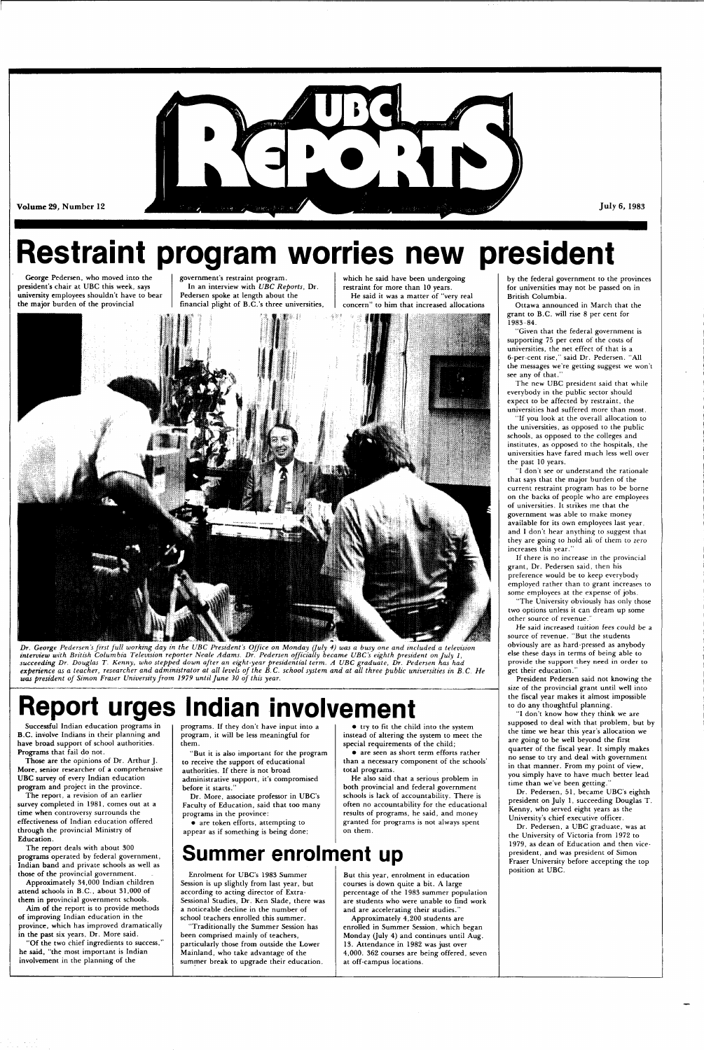

Volume 29, Number 12

**Restraint program worries new president** 

George Pedersen, who moved into the president's chair at UBC this week, says university employees shouldn't have to bear the major burden of the provincial

*Dr. George Pedersen's first full working day in the UBC President's Office on Monday (July 4) was a busy one and included a television interview with British Columbia Television reporter Neale Adams. Dr. Pedersen officially became UBC's eighth president on July 1, succeeding Dr. Douglas T. Kenny, who stepped down after an eight-year presidential term. A UBC graduate, Dr. Pedersen has had experience as a teacher, researcher and administrator at all levels of the B.C. school system and at all three public universities in B.C. He*  was president of Simon Fraser University from 1979 until June 30 of this year.

government's restraint program. In an interview with *UBC Reports,* Dr. Pedersen spoke at length about the financial plight of B.C.'s three universities, which he said have been undergoing restraint for more than 10 years. He said it was a matter of "very real concern" to him that increased allocations



## **Report urges Indian involvement**

Successful Indian education programs in B.C. involve Indians in their planning and have broad support of school authorities. Programs that fail do not.

Those are the opinions of Dr. Arthur J. More, senior researcher of a comprehensive UBC survey of every Indian education

program and project in the province.

The report, a revision of an earlier survey completed in 1981, comes out at a time when controversy surrounds the effectiveness of Indian education offered through the provincial Ministry of Education.

The report deals with about 300 programs operated by federal government, Indian band and private schools as well as those of the provincial government.

Approximately 34,000 Indian children attend schools in B.C., about 31,000 of them in provincial government schools.

Aim of the report is to provide methods of improving Indian education in the province, which has improved dramatically in the past six years, Dr. More said.

"Given that the federal government is supporting 75 per cent of the costs of universities, the net effect of that is a 6-per-cent rise," said Dr. Pedersen. "All the messages we're getting suggest we won't see any of that.'

"Of the two chief ingredients to success," he said, "the most important is Indian involvement in the planning of the

before it starts.'

programs. If they don't have input into a program, it will be less meaningful for them.

"But it is also important for the program to receive the support of educational authorities. If there is not broad administrative support, it's compromised

Dr. More, associate professor in UBC's Faculty of Education, said that too many programs in the province:

• are token efforts, attempting to appear as if something is being done;

• try to fit the child into the system instead of altering the system to meet the special requirements of the child;

• are seen as short term efforts rather than a necessary component of the schools' total programs.

He also said that a serious problem in both provincial and federal government

"I don't know how they think we are supposed to deal with that problem, but by the time we hear this year's allocation we are going to be well beyond the first quarter of the fiscal year. It simply makes no sense to try and deal with government in that manner. From my point of view, you simply have to have much better lead me than we've been getting.

schools is lack of accountability. There is often no accountability for the educational results of programs, he said, and money granted for programs is not always spent

on them.

July 6, 1983

### **Summer enrolment up**

Enrolment for UBC's 1983 Summer Session is up slightly from last year, but according to acting director of Extra-Sessional Studies, Dr. Ken Slade, there was a noticeable decline in the number of school teachers enrolled this summer.

"Traditionally the Summer Session has been comprised mainly of teachers, particularly those from outside the Lower Mainland, who take advantage of the summer break to upgrade their education.

But this year, enrolment in education courses is down quite a bit. A large percentage of the 1983 summer population are students who were unable to find work and are accelerating their studies." Approximately 4,200 students are enrolled in Summer Session, which began Monday (July 4) and continues until Aug. 13. Attendance in 1982 was just over 4,000. 362 courses are being offered, seven at off-campus locations.

by the federal government to the provinces for universities may not be passed on in British Columbia.

Ottawa announced in March that the grant to B.C. will rise 8 per cent for 1983-84.

The new UBC president said that while everybody in the public sector should expect to be affected by restraint, the universities had suffered more than most.

"If you look at the overall allocation to the universities, as opposed to the public schools, as opposed to the colleges and institutes, as opposed to the hospitals, the universities have fared much less well over the past 10 years.

"I don't see or understand the rationale that says that the major burden of the current restraint program has to be borne on the backs of people who are employees of universities. It strikes me that the government was able to make money available for its own employees last year, and I don't hear anything to suggest that they are going to hold all of them to zero increases this year."

If there is no increase in the provincial grant, Dr. Pedersen said, then his preference would be to keep everybody employed rather than to grant increases to some employees at the expense of jobs.

"The University obviously has only those two options unless it can dream up some other source of revenue.'

He said increased tuition fees could be a source of revenue. "But the students obviously are as hard-pressed as anybody else these days in terms of being able to provide the support they need in order to get their education."

President Pedersen said not knowing the size of the provincial grant until well into the fiscal year makes it almost impossible to do any thoughtful planning.

Dr. Pedersen, 51, became UBC's eighth president on July 1, succeeding Douglas T. Kenny, who served eight years as the University's chief executive officer.

Dr. Pedersen, a UBC graduate, was at the University of Victoria from 1972 to 1979, as dean of Education and then vicepresident, and was president of Simon Fraser University before accepting the top position at UBC.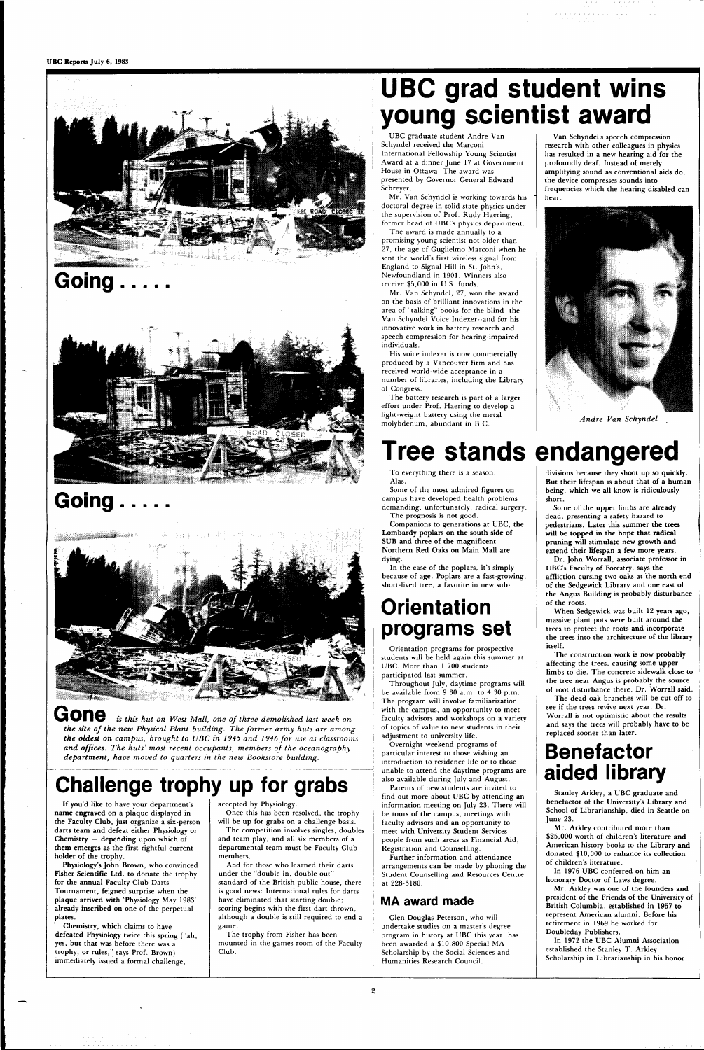





## **Going**



 $G$ ON $e$  *is this hut on West Mall, one of three demolished last week on* the site of the new Physical Plant building. The former army huts are among *the oldest on campus, brought to UBC in 1945 and 1946 for use as classrooms and offices. The huts' most recent occupants, members of the oceanography department, have moved to quarters in the new Bookstore building.* 

### **Challenge trophy up for gradity**

If you'd like to have your department's name engraved on a plaque displayed in the Faculty Club, just organize a six-person darts team and defeat either Physiology or Chemistry — depending upon which of them emerges as the first rightful current holder of the trophy.

Physiology's John Brown, who convinced Fisher Scientific Ltd. to donate the trophy for the annual Faculty Club Darts Tournament, feigned surprise when the plaque arrived with 'Physiology May 1983' already inscribed on one of the perpetual plates.

Chemistry, which claims to have defeated Physiology twice this spring ("ah, yes, but that was before there was a trophy, or rules," says Prof. Brown) immediately issued a formal challenge,

accepted by Physiology.

Once this has been resolved, the trophy will be up for grabs on a challenge basis. The competition involves singles, doubles and team play, and all six members of a departmental team must be Faculty Club members.

And for those who learned their darts under the "double in, double out' standard of the British public house, there is good news: International rules for darts have eliminated that starting double; scoring begins with the first dart thrown, although a double is still required to end a game.

The trophy from Fisher has been mounted in the games room of the Faculty Club.

## **UBC grad student wins young scientist award**

UBC graduate student Andre Van Schyndel received the Marconi International Fellowship Young Scientist Award at a dinner June 17 at Government House in Ottawa. The award was presented by Governor General Edward Schreyer.

Mr. Van Schyndel is working towards his doctoral degree in solid state physics under the supervision of Prof. Rudy Haering, former head of UBC's physics department.

The award is made annually to a promising young scientist not older than 27, the age of Guglielmo Marconi when he sent the world's first wireless signal from England to Signal Hill in St. John's, Newfoundland in 1901. Winners also receive \$5,000 in U.S. funds.

Mr. Van Schyndel, 27, won the award on the basis of brilliant innovations in the area of "talking" books for the blind-the Van Schyndel Voice Indexer -and for his innovative work in battery research and speech compression for hearing-impaired individuals.

His voice indexer is now commercially produced by a Vancouver firm and has received world-wide acceptance in a number of libraries, including the Library of Congress.

The battery research is part of a larger effort under Prof. Haering to develop a light-weight battery using the metal molybdenum, abundant in B.C.

Van Schyndel's speech compression research with other colleagues in physics has resulted in a new hearing aid for the profoundly deaf. Instead of merely amplifying sound as conventional aids do, the device compresses sounds into frequencies which the hearing disabled can hear.



*Andre Van Schyndel* 

## **Tree stands endangered**

To everything there is a season. Alas.

Some of the most admired figures on campus have developed health problems demanding, unfortunately, radical surgery. The prognosis is not good.

Companions to generations at UBC, the Lombardy poplars on the south side of SUB and three of the magnificent Northern Red Oaks on Main Mall are dying.

In the case of the poplars, it's simply because of age. Poplars are a fast-growing, short-lived tree, a favorite in new sub-

### **Orientation programs set**

Orientation programs for prospective students will be held again this summer at UBC. More than 1,700 students participated last summer.

Throughout July, daytime programs will be available from 9:30 a.m. to 4:30 p.m. The program will involve familiarization with the campus, an opportunity to meet faculty advisors and workshops on a variety of topics of value to new students in their adjustment to university life.

Overnight weekend programs of particular interest to those wishing an introduction to residence life or to those unable to attend the daytime programs are also available during July and August. Parents of new students are invited to find out more about UBC by attending an information meeting on July 23. There will be tours of the campus, meetings with faculty advisors and an opportunity to meet with University Student Services people from such areas as Financial Aid, Registration and Counselling.

Further information and attendance arrangements can be made by phoning the Student Counselling and Resources Centre at 228-3180.

### **MA award made**

Glen Douglas Peterson, who will undertake studies on a master's degree program in history at UBC this year, has been awarded a \$10,800 Special MA Scholarship by the Social Sciences and Humanities Research Council.

divisions because they shoot up so quickly. But their lifespan is about that of a human being, which we all know is ridiculously short.

Some of the upper limbs are already dead, presenting a safety hazard to pedestrians. Later this summer the trees will be topped in the hope that radical pruning will stimulate new growth and extend their lifespan a few more years.

Dr. John Worrall, associate professor in UBC's Faculty of Forestry, says the affliction cursing two oaks at the north end of the Sedgewick Library and one east of the Angus Building is probably disturbance of the roots.

When Sedgewick was built 12 years ago, massive plant pots were built around the trees to protect the roots and incorporate the trees into the architecture of the library itself.

The construction work is now probably affecting the trees, causing some upper limbs to die. The concrete sidewalk close to the tree near Angus is probably the source of root disturbance there, Dr. Worrall said.

The dead oak branches will be cut off to see if the trees revive next year. Dr. Worrall is not optimistic about the results and says the trees will probably have to be replaced sooner than later.

### **Benefactor aided library**

Stanley Arkley, a UBC graduate and benefactor of the University's Library and School of Librarianship, died in Seattle on June 23.

Mr. Arkley contributed more than \$25,000 worth of children's literature and American history books to the Library and donated \$10,000 to enhance its collection of children's literature.

In 1976 UBC conferred on him an honorary Doctor of Laws degree.

Mr. Arkley was one of the founders and president of the Friends of the University of British Columbia, established in 1957 to represent American alumni. Before his retirement in 1969 he worked for Doubleday Publishers.

In 1972 the UBC Alumni Association established the Stanley T. Arkley Scholarship in Librarianship in his honor.

 $\overline{2}$